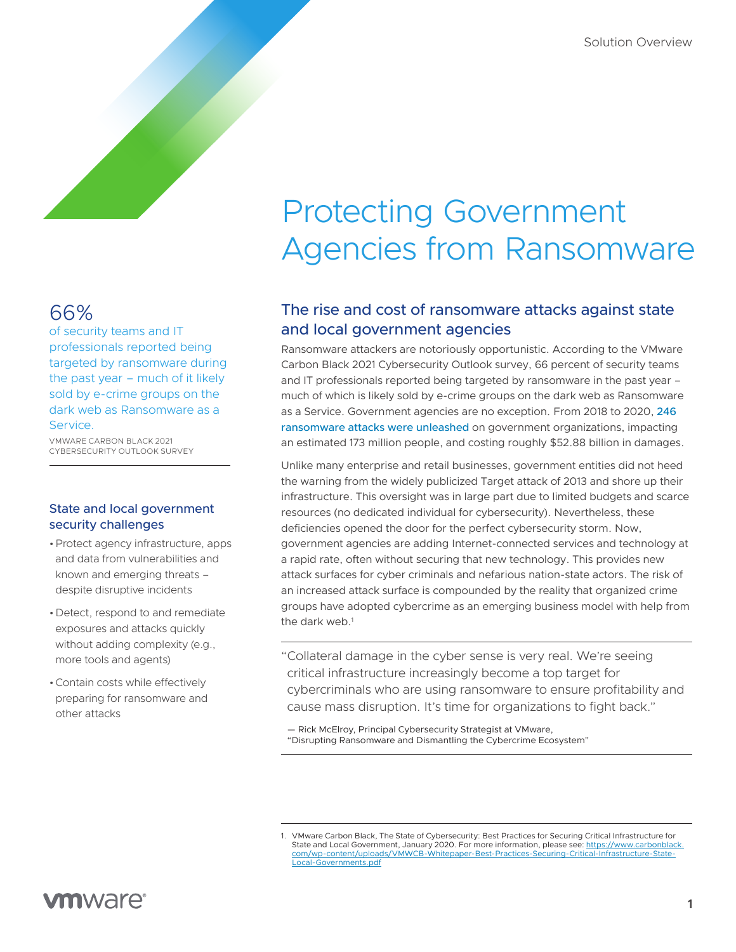## 66%

of security teams and IT professionals reported being targeted by ransomware during the past year – much of it likely sold by e-crime groups on the dark web as Ransomware as a Service.

VMWARE CARBON BLACK 2021 CYBERSECURITY OUTLOOK SURVEY

## State and local government security challenges

- •Protect agency infrastructure, apps and data from vulnerabilities and known and emerging threats – despite disruptive incidents
- •Detect, respond to and remediate exposures and attacks quickly without adding complexity (e.g., more tools and agents)
- •Contain costs while effectively preparing for ransomware and other attacks

## The rise and cost of ransomware attacks against state and local government agencies

Ransomware attackers are notoriously opportunistic. According to the VMware Carbon Black 2021 Cybersecurity Outlook survey, 66 percent of security teams and IT professionals reported being targeted by ransomware in the past year – much of which is likely sold by e-crime groups on the dark web as Ransomware as a Service. Government agencies are no exception. From 2018 to 2020, 246 ransomware attacks were unleashed on government organizations, impacting an estimated 173 million people, and costing roughly \$52.88 billion in damages.

Unlike many enterprise and retail businesses, government entities did not heed the warning from the widely publicized Target attack of 2013 and shore up their infrastructure. This oversight was in large part due to limited budgets and scarce resources (no dedicated individual for cybersecurity). Nevertheless, these deficiencies opened the door for the perfect cybersecurity storm. Now, government agencies are adding Internet-connected services and technology at a rapid rate, often without securing that new technology. This provides new attack surfaces for cyber criminals and nefarious nation-state actors. The risk of an increased attack surface is compounded by the reality that organized crime groups have adopted cybercrime as an emerging business model with help from the dark web.<sup>1</sup>

"Collateral damage in the cyber sense is very real. We're seeing critical infrastructure increasingly become a top target for cybercriminals who are using ransomware to ensure profitability and cause mass disruption. It's time for organizations to fight back."

— Rick McElroy, Principal Cybersecurity Strategist at VMware, "Disrupting Ransomware and Dismantling the Cybercrime Ecosystem"

<sup>1.</sup> VMware Carbon Black, The State of Cybersecurity: Best Practices for Securing Critical Infrastructure for State and Local Government, January 2020. For more information, please see: [https://www.carbonblack.](http://www.linkedin.com/groups?gid=4609482) [com/wp-content/uploads/VMWCB-Whitepaper-Best-Practices-Securing-Critical-Infrastructure-State-](http://www.linkedin.com/groups?gid=4609482)[Local-Governments.pdf](http://www.linkedin.com/groups?gid=4609482)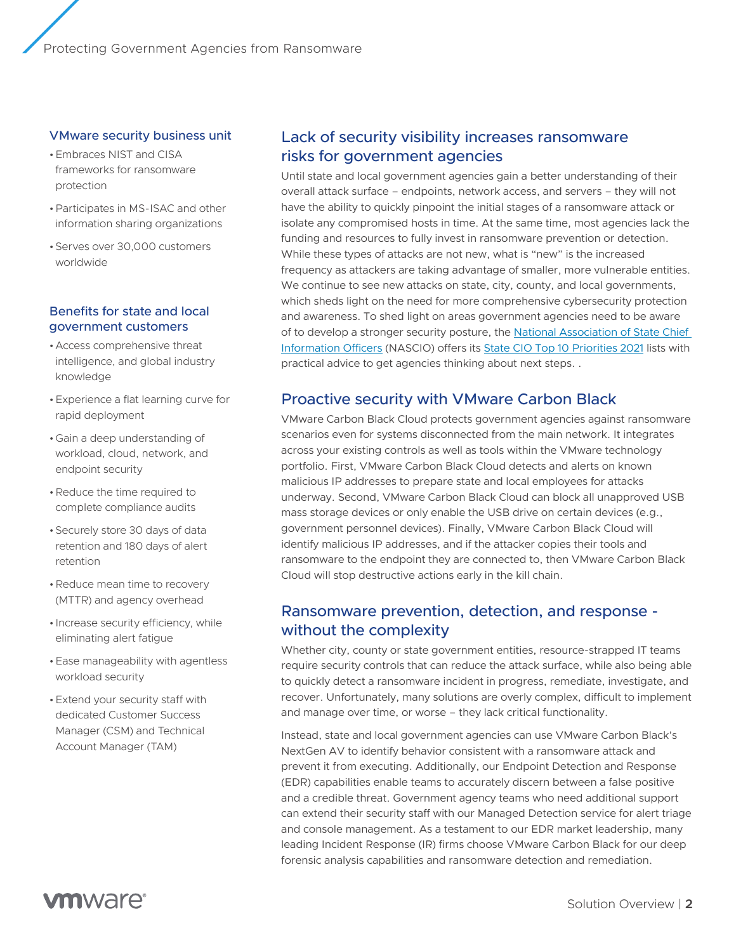#### VMware security business unit

- •Embraces NIST and CISA frameworks for ransomware protection
- •Participates in MS-ISAC and other information sharing organizations
- •Serves over 30,000 customers worldwide

#### Benefits for state and local government customers

- •Access comprehensive threat intelligence, and global industry knowledge
- •Experience a flat learning curve for rapid deployment
- •Gain a deep understanding of workload, cloud, network, and endpoint security
- Reduce the time required to complete compliance audits
- •Securely store 30 days of data retention and 180 days of alert retention
- •Reduce mean time to recovery (MTTR) and agency overhead
- Increase security efficiency, while eliminating alert fatigue
- •Ease manageability with agentless workload security
- •Extend your security staff with dedicated Customer Success Manager (CSM) and Technical Account Manager (TAM)

## Lack of security visibility increases ransomware risks for government agencies

Until state and local government agencies gain a better understanding of their overall attack surface – endpoints, network access, and servers – they will not have the ability to quickly pinpoint the initial stages of a ransomware attack or isolate any compromised hosts in time. At the same time, most agencies lack the funding and resources to fully invest in ransomware prevention or detection. While these types of attacks are not new, what is "new" is the increased frequency as attackers are taking advantage of smaller, more vulnerable entities. We continue to see new attacks on state, city, county, and local governments, which sheds light on the need for more comprehensive cybersecurity protection and awareness. To shed light on areas government agencies need to be aware of to develop a stronger security posture, the [National Association of State Chief](https://www.nascio.org)  [Information Officers](https://www.nascio.org) (NASCIO) offers its [State CIO Top 10 Priorities 2021](https://www.nascio.org/wp-content/uploads/2020/12/NASCIO_CIOTopTenPriorities.pdf) lists with practical advice to get agencies thinking about next steps. .

### Proactive security with VMware Carbon Black

VMware Carbon Black Cloud protects government agencies against ransomware scenarios even for systems disconnected from the main network. It integrates across your existing controls as well as tools within the VMware technology portfolio. First, VMware Carbon Black Cloud detects and alerts on known malicious IP addresses to prepare state and local employees for attacks underway. Second, VMware Carbon Black Cloud can block all unapproved USB mass storage devices or only enable the USB drive on certain devices (e.g., government personnel devices). Finally, VMware Carbon Black Cloud will identify malicious IP addresses, and if the attacker copies their tools and ransomware to the endpoint they are connected to, then VMware Carbon Black Cloud will stop destructive actions early in the kill chain.

## Ransomware prevention, detection, and response without the complexity

Whether city, county or state government entities, resource-strapped IT teams require security controls that can reduce the attack surface, while also being able to quickly detect a ransomware incident in progress, remediate, investigate, and recover. Unfortunately, many solutions are overly complex, difficult to implement and manage over time, or worse – they lack critical functionality.

Instead, state and local government agencies can use VMware Carbon Black's NextGen AV to identify behavior consistent with a ransomware attack and prevent it from executing. Additionally, our Endpoint Detection and Response (EDR) capabilities enable teams to accurately discern between a false positive and a credible threat. Government agency teams who need additional support can extend their security staff with our Managed Detection service for alert triage and console management. As a testament to our EDR market leadership, many leading Incident Response (IR) firms choose VMware Carbon Black for our deep forensic analysis capabilities and ransomware detection and remediation.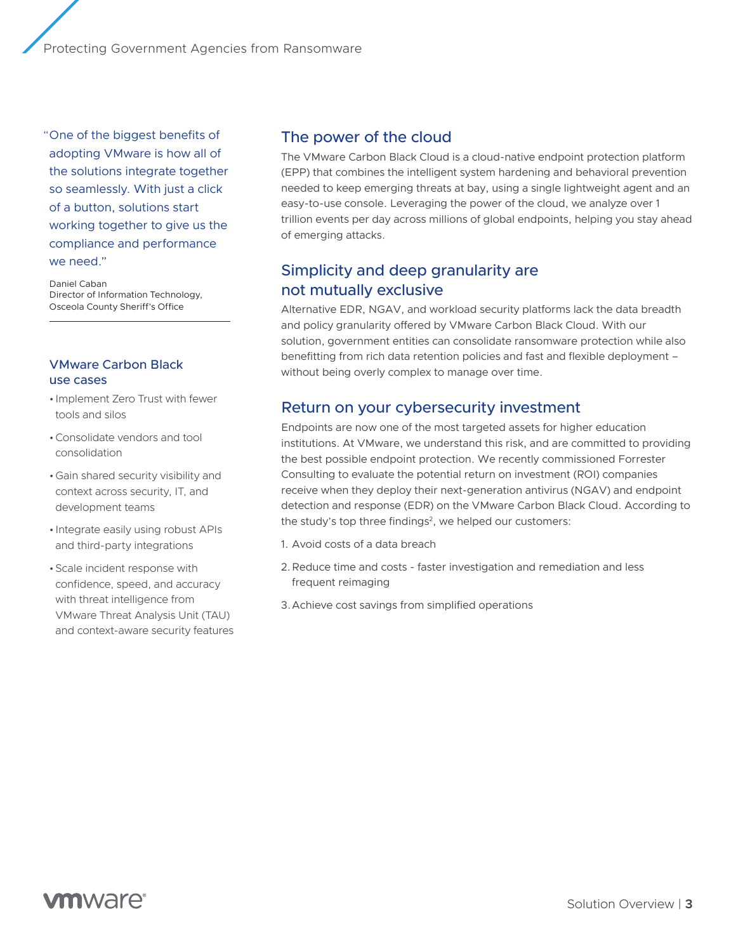"One of the biggest benefits of adopting VMware is how all of the solutions integrate together so seamlessly. With just a click of a button, solutions start working together to give us the compliance and performance we need."

Daniel Caban Director of Information Technology, Osceola County Sheriff's Office

### VMware Carbon Black use cases

- Implement Zero Trust with fewer tools and silos
- •Consolidate vendors and tool consolidation
- •Gain shared security visibility and context across security, IT, and development teams
- Integrate easily using robust APIs and third-party integrations
- •Scale incident response with confidence, speed, and accuracy with threat intelligence from VMware Threat Analysis Unit (TAU) and context-aware security features

## The power of the cloud

The VMware Carbon Black Cloud is a cloud-native endpoint protection platform (EPP) that combines the intelligent system hardening and behavioral prevention needed to keep emerging threats at bay, using a single lightweight agent and an easy-to-use console. Leveraging the power of the cloud, we analyze over 1 trillion events per day across millions of global endpoints, helping you stay ahead of emerging attacks.

## Simplicity and deep granularity are not mutually exclusive

Alternative EDR, NGAV, and workload security platforms lack the data breadth and policy granularity offered by VMware Carbon Black Cloud. With our solution, government entities can consolidate ransomware protection while also benefitting from rich data retention policies and fast and flexible deployment – without being overly complex to manage over time.

## Return on your cybersecurity investment

Endpoints are now one of the most targeted assets for higher education institutions. At VMware, we understand this risk, and are committed to providing the best possible endpoint protection. We recently commissioned Forrester Consulting to evaluate the potential return on investment (ROI) companies receive when they deploy their next-generation antivirus (NGAV) and endpoint detection and response (EDR) on the VMware Carbon Black Cloud. According to the study's top three findings<sup>2</sup>, we helped our customers:

- 1. Avoid costs of a data breach
- 2.Reduce time and costs faster investigation and remediation and less frequent reimaging
- 3.Achieve cost savings from simplified operations